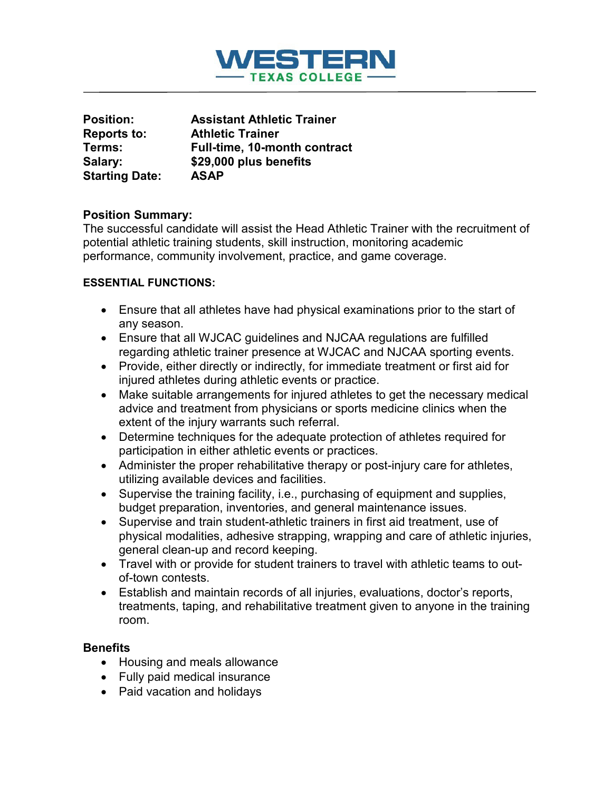

| <b>Position:</b>      | <b>Assistant Athletic Trainer</b> |
|-----------------------|-----------------------------------|
| <b>Reports to:</b>    | <b>Athletic Trainer</b>           |
| Terms:                | Full-time, 10-month contract      |
| Salary:               | \$29,000 plus benefits            |
| <b>Starting Date:</b> | <b>ASAP</b>                       |

### **Position Summary:**

The successful candidate will assist the Head Athletic Trainer with the recruitment of potential athletic training students, skill instruction, monitoring academic performance, community involvement, practice, and game coverage.

### **ESSENTIAL FUNCTIONS:**

- Ensure that all athletes have had physical examinations prior to the start of any season.
- Ensure that all WJCAC guidelines and NJCAA regulations are fulfilled regarding athletic trainer presence at WJCAC and NJCAA sporting events.
- Provide, either directly or indirectly, for immediate treatment or first aid for injured athletes during athletic events or practice.
- Make suitable arrangements for injured athletes to get the necessary medical advice and treatment from physicians or sports medicine clinics when the extent of the injury warrants such referral.
- Determine techniques for the adequate protection of athletes required for participation in either athletic events or practices.
- Administer the proper rehabilitative therapy or post-injury care for athletes, utilizing available devices and facilities.
- Supervise the training facility, i.e., purchasing of equipment and supplies, budget preparation, inventories, and general maintenance issues.
- Supervise and train student-athletic trainers in first aid treatment, use of physical modalities, adhesive strapping, wrapping and care of athletic injuries, general clean-up and record keeping.
- Travel with or provide for student trainers to travel with athletic teams to outof-town contests.
- Establish and maintain records of all injuries, evaluations, doctor's reports, treatments, taping, and rehabilitative treatment given to anyone in the training room.

### **Benefits**

- Housing and meals allowance
- Fully paid medical insurance
- Paid vacation and holidays